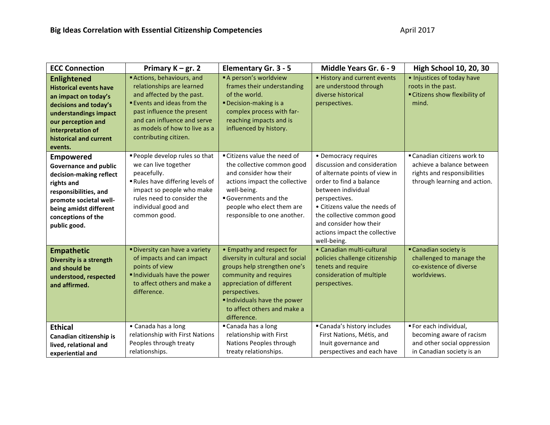| <b>ECC Connection</b>                                                                                                                                                                                         | Primary $K - gr. 2$                                                                                                                                                                                                                           | <b>Elementary Gr. 3 - 5</b>                                                                                                                                                                                                                       | Middle Years Gr. 6 - 9                                                                                                                                                                                                                                                                            | <b>High School 10, 20, 30</b>                                                                                           |
|---------------------------------------------------------------------------------------------------------------------------------------------------------------------------------------------------------------|-----------------------------------------------------------------------------------------------------------------------------------------------------------------------------------------------------------------------------------------------|---------------------------------------------------------------------------------------------------------------------------------------------------------------------------------------------------------------------------------------------------|---------------------------------------------------------------------------------------------------------------------------------------------------------------------------------------------------------------------------------------------------------------------------------------------------|-------------------------------------------------------------------------------------------------------------------------|
| <b>Enlightened</b><br><b>Historical events have</b><br>an impact on today's<br>decisions and today's<br>understandings impact<br>our perception and<br>interpretation of<br>historical and current<br>events. | Actions, behaviours, and<br>relationships are learned<br>and affected by the past.<br><b>Events and ideas from the</b><br>past influence the present<br>and can influence and serve<br>as models of how to live as a<br>contributing citizen. | A person's worldview<br>frames their understanding<br>of the world.<br><b>Decision-making is a</b><br>complex process with far-<br>reaching impacts and is<br>influenced by history.                                                              | • History and current events<br>are understood through<br>diverse historical<br>perspectives.                                                                                                                                                                                                     | · Injustices of today have<br>roots in the past.<br>Citizens show flexibility of<br>mind.                               |
| <b>Empowered</b><br><b>Governance and public</b><br>decision-making reflect<br>rights and<br>responsibilities, and<br>promote societal well-<br>being amidst different<br>conceptions of the<br>public good.  | People develop rules so that<br>we can live together<br>peacefully.<br>Rules have differing levels of<br>impact so people who make<br>rules need to consider the<br>individual good and<br>common good.                                       | "Citizens value the need of<br>the collective common good<br>and consider how their<br>actions impact the collective<br>well-being.<br>Governments and the<br>people who elect them are<br>responsible to one another.                            | • Democracy requires<br>discussion and consideration<br>of alternate points of view in<br>order to find a balance<br>between individual<br>perspectives.<br>• Citizens value the needs of<br>the collective common good<br>and consider how their<br>actions impact the collective<br>well-being. | ■ Canadian citizens work to<br>achieve a balance between<br>rights and responsibilities<br>through learning and action. |
| <b>Empathetic</b><br>Diversity is a strength<br>and should be<br>understood, respected<br>and affirmed.                                                                                                       | "Diversity can have a variety<br>of impacts and can impact<br>points of view<br>Individuals have the power<br>to affect others and make a<br>difference.                                                                                      | • Empathy and respect for<br>diversity in cultural and social<br>groups help strengthen one's<br>community and requires<br>appreciation of different<br>perspectives.<br>Individuals have the power<br>to affect others and make a<br>difference. | • Canadian multi-cultural<br>policies challenge citizenship<br>tenets and require<br>consideration of multiple<br>perspectives.                                                                                                                                                                   | Canadian society is<br>challenged to manage the<br>co-existence of diverse<br>worldviews.                               |
| <b>Ethical</b><br>Canadian citizenship is<br>lived, relational and<br>experiential and                                                                                                                        | • Canada has a long<br>relationship with First Nations<br>Peoples through treaty<br>relationships.                                                                                                                                            | Canada has a long<br>relationship with First<br>Nations Peoples through<br>treaty relationships.                                                                                                                                                  | "Canada's history includes<br>First Nations, Métis, and<br>Inuit governance and<br>perspectives and each have                                                                                                                                                                                     | For each individual,<br>becoming aware of racism<br>and other social oppression<br>in Canadian society is an            |